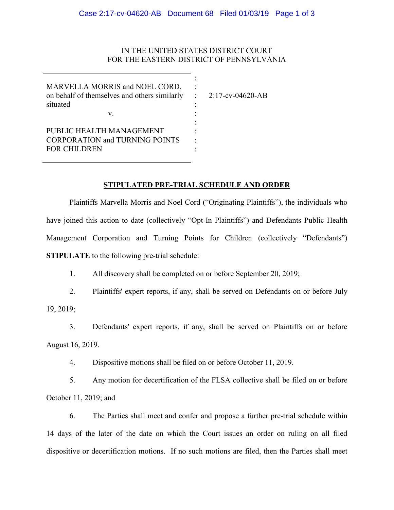# IN THE UNITED STATES DISTRICT COURT FOR THE EASTERN DISTRICT OF PENNSYLVANIA

| MARVELLA MORRIS and NOEL CORD,<br>on behalf of themselves and others similarly :<br>situated | $2:17$ -cv-04620-AB |
|----------------------------------------------------------------------------------------------|---------------------|
| V.                                                                                           |                     |
|                                                                                              |                     |
| PUBLIC HEALTH MANAGEMENT                                                                     |                     |
| <b>CORPORATION and TURNING POINTS</b>                                                        |                     |
| <b>FOR CHILDREN</b>                                                                          |                     |
|                                                                                              |                     |

## **STIPULATED PRE-TRIAL SCHEDULE AND ORDER**

Plaintiffs Marvella Morris and Noel Cord ("Originating Plaintiffs"), the individuals who have joined this action to date (collectively "Opt-In Plaintiffs") and Defendants Public Health Management Corporation and Turning Points for Children (collectively "Defendants") **STIPULATE** to the following pre-trial schedule:

1. All discovery shall be completed on or before September 20, 2019;

2. Plaintiffs' expert reports, if any, shall be served on Defendants on or before July

19, 2019;

3. Defendants' expert reports, if any, shall be served on Plaintiffs on or before August 16, 2019.

4. Dispositive motions shall be filed on or before October 11, 2019.

5. Any motion for decertification of the FLSA collective shall be filed on or before October 11, 2019; and

6. The Parties shall meet and confer and propose a further pre-trial schedule within 14 days of the later of the date on which the Court issues an order on ruling on all filed dispositive or decertification motions. If no such motions are filed, then the Parties shall meet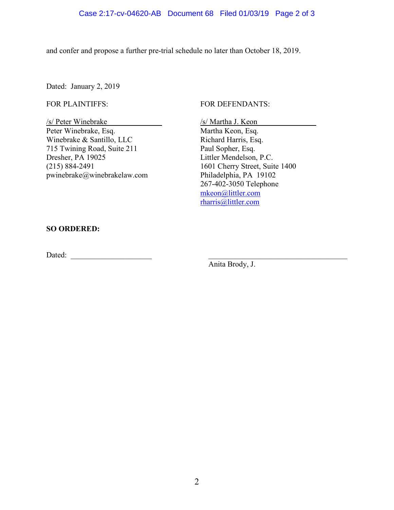and confer and propose a further pre-trial schedule no later than October 18, 2019.

Dated: January 2, 2019

#### FOR PLAINTIFFS:

/s/ Peter Winebrake Peter Winebrake, Esq. Winebrake & Santillo, LLC 715 Twining Road, Suite 211 Dresher, PA 19025 (215) 884-2491 pwinebrake@winebrakelaw.com

### FOR DEFENDANTS:

/s/ Martha J. Keon Martha Keon, Esq. Richard Harris, Esq. Paul Sopher, Esq. Littler Mendelson, P.C. 1601 Cherry Street, Suite 1400 Philadelphia, PA 19102 267-402-3050 Telephone [mkeon@littler.com](mailto:mkeon@littler.com) [rharris@littler.com](mailto:rharris@littler.com)

#### **SO ORDERED:**

Dated: \_\_\_\_\_\_\_\_\_\_\_\_\_\_\_\_\_\_\_\_\_ \_\_\_\_\_\_\_\_\_\_\_\_\_\_\_\_\_\_\_\_\_\_\_\_\_\_\_\_\_\_\_\_\_\_\_\_

Anita Brody, J.